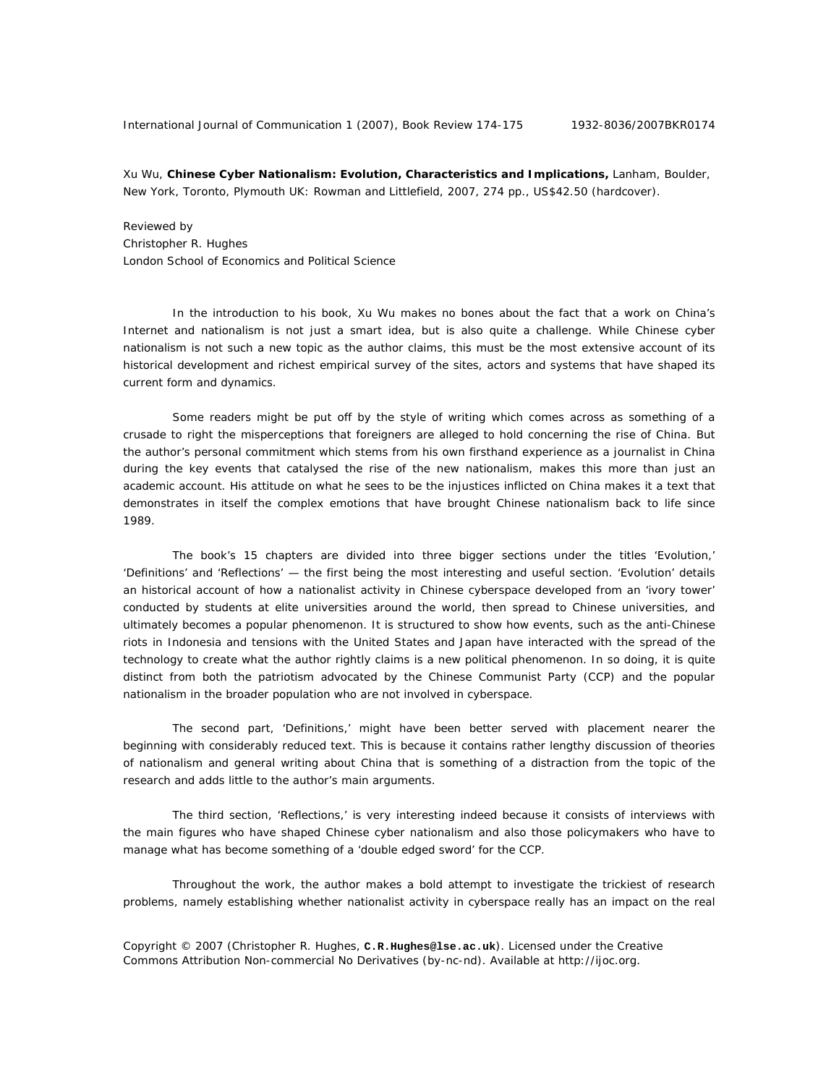Xu Wu, **Chinese Cyber Nationalism: Evolution, Characteristics and Implications,** Lanham, Boulder, New York, Toronto, Plymouth UK: Rowman and Littlefield, 2007, 274 pp., US\$42.50 (hardcover).

Reviewed by Christopher R. Hughes London School of Economics and Political Science

In the introduction to his book, Xu Wu makes no bones about the fact that a work on China's Internet and nationalism is not just a smart idea, but is also quite a challenge. While Chinese cyber nationalism is not such a new topic as the author claims, this must be the most extensive account of its historical development and richest empirical survey of the sites, actors and systems that have shaped its current form and dynamics.

Some readers might be put off by the style of writing which comes across as something of a crusade to right the misperceptions that foreigners are alleged to hold concerning the rise of China. But the author's personal commitment which stems from his own firsthand experience as a journalist in China during the key events that catalysed the rise of the new nationalism, makes this more than just an academic account. His attitude on what he sees to be the injustices inflicted on China makes it a text that demonstrates in itself the complex emotions that have brought Chinese nationalism back to life since 1989.

The book's 15 chapters are divided into three bigger sections under the titles 'Evolution,' 'Definitions' and 'Reflections' — the first being the most interesting and useful section. 'Evolution' details an historical account of how a nationalist activity in Chinese cyberspace developed from an 'ivory tower' conducted by students at elite universities around the world, then spread to Chinese universities, and ultimately becomes a popular phenomenon. It is structured to show how events, such as the anti-Chinese riots in Indonesia and tensions with the United States and Japan have interacted with the spread of the technology to create what the author rightly claims is a new political phenomenon. In so doing, it is quite distinct from both the patriotism advocated by the Chinese Communist Party (CCP) and the popular nationalism in the broader population who are not involved in cyberspace.

The second part, 'Definitions,' might have been better served with placement nearer the beginning with considerably reduced text. This is because it contains rather lengthy discussion of theories of nationalism and general writing about China that is something of a distraction from the topic of the research and adds little to the author's main arguments.

The third section, 'Reflections,' is very interesting indeed because it consists of interviews with the main figures who have shaped Chinese cyber nationalism and also those policymakers who have to manage what has become something of a 'double edged sword' for the CCP.

Throughout the work, the author makes a bold attempt to investigate the trickiest of research problems, namely establishing whether nationalist activity in cyberspace really has an impact on the real

Copyright © 2007 (Christopher R. Hughes, **C.R.Hughes@lse.ac.uk**). Licensed under the Creative Commons Attribution Non-commercial No Derivatives (by-nc-nd). Available at http://ijoc.org.